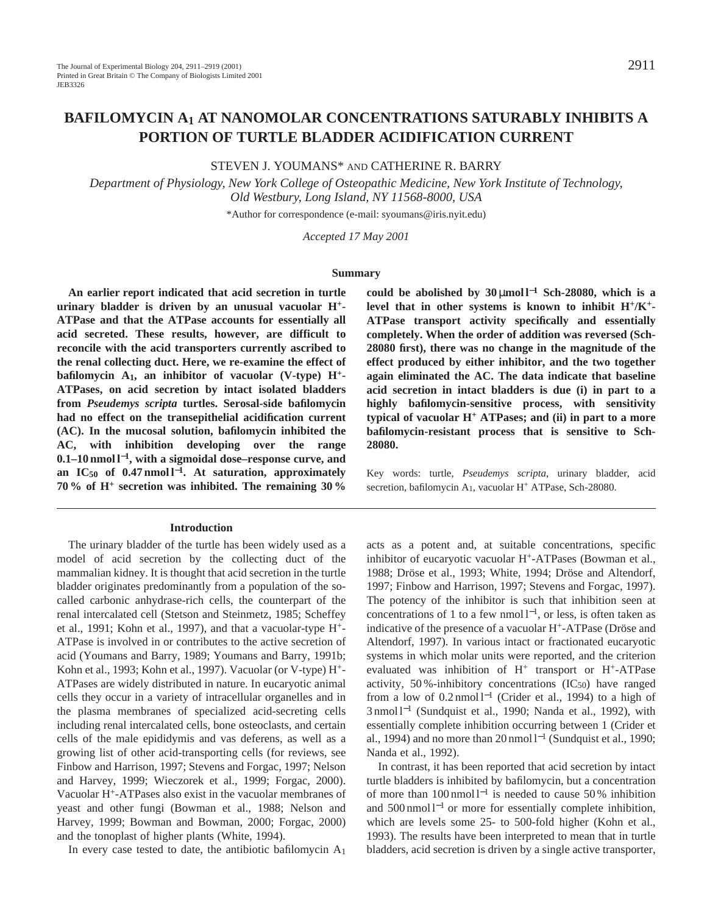# **BAFILOMYCIN A1 AT NANOMOLAR CONCENTRATIONS SATURABLY INHIBITS A PORTION OF TURTLE BLADDER ACIDIFICATION CURRENT**

STEVEN J. YOUMANS\* AND CATHERINE R. BARRY

*Department of Physiology, New York College of Osteopathic Medicine, New York Institute of Technology, Old Westbury, Long Island, NY 11568-8000, USA*

\*Author for correspondence (e-mail: syoumans@iris.nyit.edu)

*Accepted 17 May 2001* 

#### **Summary**

**An earlier report indicated that acid secretion in turtle urinary bladder is driven by an unusual vacuolar H+- ATPase and that the ATPase accounts for essentially all acid secreted. These results, however, are difficult to reconcile with the acid transporters currently ascribed to the renal collecting duct. Here, we re-examine the effect of bafilomycin A1, an inhibitor of vacuolar (V-type) H+- ATPases, on acid secretion by intact isolated bladders from** *Pseudemys scripta* **turtles. Serosal-side bafilomycin had no effect on the transepithelial acidification current (AC). In the mucosal solution, bafilomycin inhibited the AC, with inhibition developing over the range 0.1–10 nmol l**<sup>−</sup>**1, with a sigmoidal dose–response curve, and an IC50 of 0.47 nmol l**<sup>−</sup>**1. At saturation, approximately 70 % of H<sup>+</sup> secretion was inhibited. The remaining 30 %**

### **Introduction**

The urinary bladder of the turtle has been widely used as a model of acid secretion by the collecting duct of the mammalian kidney. It is thought that acid secretion in the turtle bladder originates predominantly from a population of the socalled carbonic anhydrase-rich cells, the counterpart of the renal intercalated cell (Stetson and Steinmetz, 1985; Scheffey et al., 1991; Kohn et al., 1997), and that a vacuolar-type H+- ATPase is involved in or contributes to the active secretion of acid (Youmans and Barry, 1989; Youmans and Barry, 1991b; Kohn et al., 1993; Kohn et al., 1997). Vacuolar (or V-type) H+- ATPases are widely distributed in nature. In eucaryotic animal cells they occur in a variety of intracellular organelles and in the plasma membranes of specialized acid-secreting cells including renal intercalated cells, bone osteoclasts, and certain cells of the male epididymis and vas deferens, as well as a growing list of other acid-transporting cells (for reviews, see Finbow and Harrison, 1997; Stevens and Forgac, 1997; Nelson and Harvey, 1999; Wieczorek et al., 1999; Forgac, 2000). Vacuolar H+-ATPases also exist in the vacuolar membranes of yeast and other fungi (Bowman et al., 1988; Nelson and Harvey, 1999; Bowman and Bowman, 2000; Forgac, 2000) and the tonoplast of higher plants (White, 1994).

In every case tested to date, the antibiotic bafilomycin  $A_1$ 

could be abolished by  $30 \mu \text{mol}^{-1}$  Sch-28080, which is a **level that in other systems is known to inhibit H+/K+- ATPase transport activity specifically and essentially completely. When the order of addition was reversed (Sch-28080 first), there was no change in the magnitude of the effect produced by either inhibitor, and the two together again eliminated the AC. The data indicate that baseline acid secretion in intact bladders is due (i) in part to a highly bafilomycin-sensitive process, with sensitivity typical of vacuolar H+ ATPases; and (ii) in part to a more bafilomycin-resistant process that is sensitive to Sch-28080.**

Key words: turtle, *Pseudemys scripta*, urinary bladder, acid secretion, bafilomycin A<sub>1</sub>, vacuolar H<sup>+</sup> ATPase, Sch-28080.

acts as a potent and, at suitable concentrations, specific inhibitor of eucaryotic vacuolar H<sup>+</sup>-ATPases (Bowman et al., 1988; Dröse et al., 1993; White, 1994; Dröse and Altendorf, 1997; Finbow and Harrison, 1997; Stevens and Forgac, 1997). The potency of the inhibitor is such that inhibition seen at concentrations of 1 to a few nmol  $l^{-1}$ , or less, is often taken as indicative of the presence of a vacuolar H+-ATPase (Dröse and Altendorf, 1997). In various intact or fractionated eucaryotic systems in which molar units were reported, and the criterion evaluated was inhibition of  $H^+$  transport or  $H^+$ -ATPase activity, 50%-inhibitory concentrations  $(IC_{50})$  have ranged from a low of 0.2 nmol l−<sup>1</sup> (Crider et al., 1994) to a high of 3 nmol l−<sup>1</sup> (Sundquist et al., 1990; Nanda et al., 1992), with essentially complete inhibition occurring between 1 (Crider et al., 1994) and no more than 20 nmol l<sup>-1</sup> (Sundquist et al., 1990; Nanda et al., 1992).

In contrast, it has been reported that acid secretion by intact turtle bladders is inhibited by bafilomycin, but a concentration of more than 100 nmol l−<sup>1</sup> is needed to cause 50 % inhibition and 500 nmol l<sup>−</sup>1 or more for essentially complete inhibition, which are levels some 25- to 500-fold higher (Kohn et al., 1993). The results have been interpreted to mean that in turtle bladders, acid secretion is driven by a single active transporter,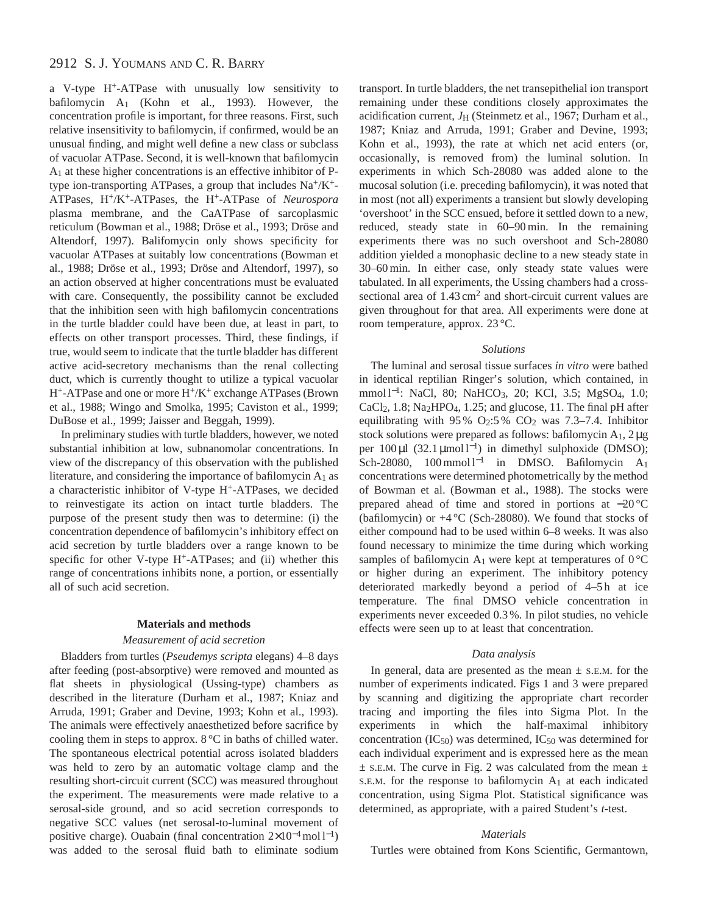# 2912 S. J. YOUMANS AND C. R. BARRY

a V-type H+-ATPase with unusually low sensitivity to bafilomycin A1 (Kohn et al., 1993). However, the concentration profile is important, for three reasons. First, such relative insensitivity to bafilomycin, if confirmed, would be an unusual finding, and might well define a new class or subclass of vacuolar ATPase. Second, it is well-known that bafilomycin A1 at these higher concentrations is an effective inhibitor of Ptype ion-transporting ATPases, a group that includes  $Na^+/K^+$ -ATPases, H+/K+-ATPases, the H+-ATPase of *Neurospora* plasma membrane, and the CaATPase of sarcoplasmic reticulum (Bowman et al., 1988; Dröse et al., 1993; Dröse and Altendorf, 1997). Balifomycin only shows specificity for vacuolar ATPases at suitably low concentrations (Bowman et al., 1988; Dröse et al., 1993; Dröse and Altendorf, 1997), so an action observed at higher concentrations must be evaluated with care. Consequently, the possibility cannot be excluded that the inhibition seen with high bafilomycin concentrations in the turtle bladder could have been due, at least in part, to effects on other transport processes. Third, these findings, if true, would seem to indicate that the turtle bladder has different active acid-secretory mechanisms than the renal collecting duct, which is currently thought to utilize a typical vacuolar H+-ATPase and one or more H+/K+ exchange ATPases (Brown et al., 1988; Wingo and Smolka, 1995; Caviston et al., 1999; DuBose et al., 1999; Jaisser and Beggah, 1999).

In preliminary studies with turtle bladders, however, we noted substantial inhibition at low, subnanomolar concentrations. In view of the discrepancy of this observation with the published literature, and considering the importance of bafilomycin  $A_1$  as a characteristic inhibitor of V-type H+-ATPases, we decided to reinvestigate its action on intact turtle bladders. The purpose of the present study then was to determine: (i) the concentration dependence of bafilomycin's inhibitory effect on acid secretion by turtle bladders over a range known to be specific for other V-type H<sup>+</sup>-ATPases; and (ii) whether this range of concentrations inhibits none, a portion, or essentially all of such acid secretion.

#### **Materials and methods**

### *Measurement of acid secretion*

Bladders from turtles (*Pseudemys scripta* elegans) 4–8 days after feeding (post-absorptive) were removed and mounted as flat sheets in physiological (Ussing-type) chambers as described in the literature (Durham et al., 1987; Kniaz and Arruda, 1991; Graber and Devine, 1993; Kohn et al., 1993). The animals were effectively anaesthetized before sacrifice by cooling them in steps to approx.  $8^{\circ}$ C in baths of chilled water. The spontaneous electrical potential across isolated bladders was held to zero by an automatic voltage clamp and the resulting short-circuit current (SCC) was measured throughout the experiment. The measurements were made relative to a serosal-side ground, and so acid secretion corresponds to negative SCC values (net serosal-to-luminal movement of positive charge). Ouabain (final concentration  $2\times10^{-4}$  mol l<sup>-1</sup>) was added to the serosal fluid bath to eliminate sodium transport. In turtle bladders, the net transepithelial ion transport remaining under these conditions closely approximates the acidification current, *J*H (Steinmetz et al., 1967; Durham et al., 1987; Kniaz and Arruda, 1991; Graber and Devine, 1993; Kohn et al., 1993), the rate at which net acid enters (or, occasionally, is removed from) the luminal solution. In experiments in which Sch-28080 was added alone to the mucosal solution (i.e. preceding bafilomycin), it was noted that in most (not all) experiments a transient but slowly developing 'overshoot' in the SCC ensued, before it settled down to a new, reduced, steady state in 60–90 min. In the remaining experiments there was no such overshoot and Sch-28080 addition yielded a monophasic decline to a new steady state in 30–60 min. In either case, only steady state values were tabulated. In all experiments, the Ussing chambers had a crosssectional area of  $1.43 \text{ cm}^2$  and short-circuit current values are given throughout for that area. All experiments were done at room temperature, approx. 23 °C.

### *Solutions*

The luminal and serosal tissue surfaces *in vitro* were bathed in identical reptilian Ringer's solution, which contained, in mmol l<sup>-1</sup>: NaCl, 80; NaHCO<sub>3</sub>, 20; KCl, 3.5; MgSO<sub>4</sub>, 1.0; CaCl2, 1.8; Na2HPO4, 1.25; and glucose, 11. The final pH after equilibrating with  $95\%$  O<sub>2</sub>:5% CO<sub>2</sub> was 7.3–7.4. Inhibitor stock solutions were prepared as follows: bafilomycin  $A_1$ ,  $2 \mu$ g per 100 μl (32.1 μmol l<sup>-1</sup>) in dimethyl sulphoxide (DMSO); Sch-28080, 100 mmol l<sup>-1</sup> in DMSO. Bafilomycin A<sub>1</sub> concentrations were determined photometrically by the method of Bowman et al. (Bowman et al., 1988). The stocks were prepared ahead of time and stored in portions at −20 °C (bafilomycin) or  $+4\degree$ C (Sch-28080). We found that stocks of either compound had to be used within 6–8 weeks. It was also found necessary to minimize the time during which working samples of bafilomycin A<sub>1</sub> were kept at temperatures of  $0^{\circ}C$ or higher during an experiment. The inhibitory potency deteriorated markedly beyond a period of 4–5 h at ice temperature. The final DMSO vehicle concentration in experiments never exceeded 0.3 %. In pilot studies, no vehicle effects were seen up to at least that concentration.

### *Data analysis*

In general, data are presented as the mean  $\pm$  s.e.m. for the number of experiments indicated. Figs 1 and 3 were prepared by scanning and digitizing the appropriate chart recorder tracing and importing the files into Sigma Plot. In the experiments in which the half-maximal inhibitory concentration  $(IC_{50})$  was determined,  $IC_{50}$  was determined for each individual experiment and is expressed here as the mean  $\pm$  s.E.M. The curve in Fig. 2 was calculated from the mean  $\pm$ S.E.M. for the response to bafilomycin  $A_1$  at each indicated concentration, using Sigma Plot. Statistical significance was determined, as appropriate, with a paired Student's *t*-test.

### *Materials*

Turtles were obtained from Kons Scientific, Germantown,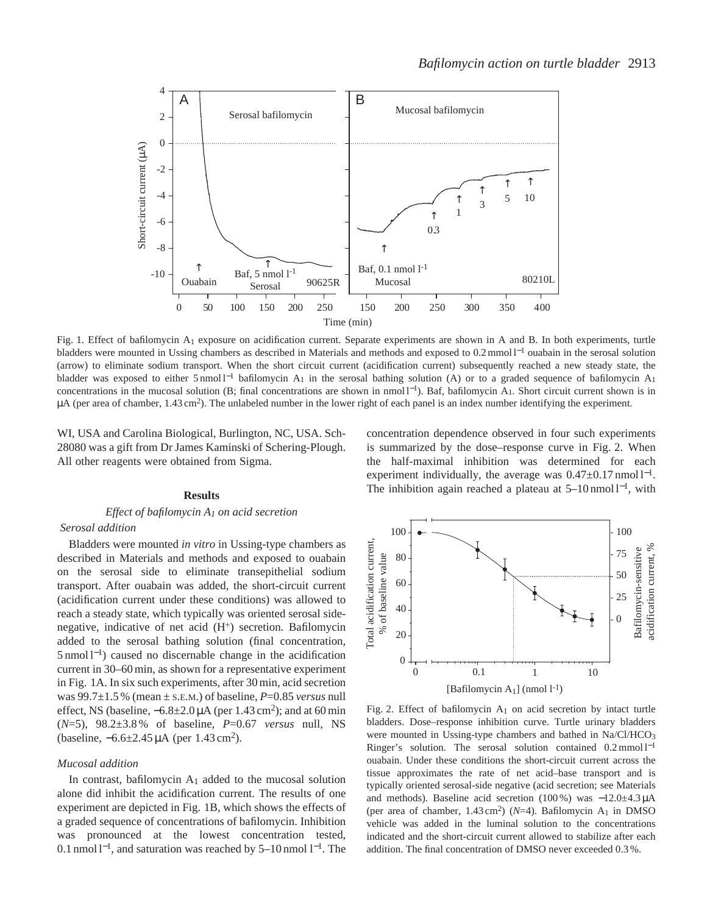

Fig. 1. Effect of bafilomycin A1 exposure on acidification current. Separate experiments are shown in A and B. In both experiments, turtle bladders were mounted in Ussing chambers as described in Materials and methods and exposed to 0.2 mmol l−<sup>1</sup> ouabain in the serosal solution (arrow) to eliminate sodium transport. When the short circuit current (acidification current) subsequently reached a new steady state, the bladder was exposed to either 5 nmol l<sup>-1</sup> bafilomycin A<sub>1</sub> in the serosal bathing solution (A) or to a graded sequence of bafilomycin A<sub>1</sub> concentrations in the mucosal solution (B; final concentrations are shown in nmol l<sup>−</sup>1). Baf, bafilomycin A1. Short circuit current shown is in  $\mu$ A (per area of chamber, 1.43 cm<sup>2</sup>). The unlabeled number in the lower right of each panel is an index number identifying the experiment.

WI, USA and Carolina Biological, Burlington, NC, USA. Sch-28080 was a gift from Dr James Kaminski of Schering-Plough. All other reagents were obtained from Sigma.

### **Results**

### *Effect of bafilomycin A1 on acid secretion*

### *Serosal addition*

Bladders were mounted *in vitro* in Ussing-type chambers as described in Materials and methods and exposed to ouabain on the serosal side to eliminate transepithelial sodium transport. After ouabain was added, the short-circuit current (acidification current under these conditions) was allowed to reach a steady state, which typically was oriented serosal sidenegative, indicative of net acid  $(H<sup>+</sup>)$  secretion. Bafilomycin added to the serosal bathing solution (final concentration, 5 nmol l<sup>−</sup>1) caused no discernable change in the acidification current in 30–60 min, as shown for a representative experiment in Fig. 1A. In six such experiments, after 30 min, acid secretion was 99.7±1.5 % (mean ± S.E.M.) of baseline, *P*=0.85 *versus* null effect, NS (baseline,  $-6.8\pm2.0 \mu A$  (per 1.43 cm<sup>2</sup>); and at 60 min (*N*=5), 98.2±3.8 % of baseline, *P*=0.67 *versus* null, NS (baseline, −6.6±2.45 µA (per 1.43 cm2).

#### *Mucosal addition*

In contrast, bafilomycin  $A_1$  added to the mucosal solution alone did inhibit the acidification current. The results of one experiment are depicted in Fig. 1B, which shows the effects of a graded sequence of concentrations of bafilomycin. Inhibition was pronounced at the lowest concentration tested, 0.1 nmol l<sup>−</sup>1, and saturation was reached by 5–10 nmol l−1. The concentration dependence observed in four such experiments is summarized by the dose–response curve in Fig. 2. When the half-maximal inhibition was determined for each experiment individually, the average was  $0.47\pm0.17$  nmol l<sup>-1</sup>. The inhibition again reached a plateau at  $5-10$  nmol  $1^{-1}$ , with



Fig. 2. Effect of bafilomycin  $A_1$  on acid secretion by intact turtle bladders. Dose–response inhibition curve. Turtle urinary bladders were mounted in Ussing-type chambers and bathed in Na/Cl/HCO<sub>3</sub> Ringer's solution. The serosal solution contained 0.2 mmol l−<sup>1</sup> ouabain. Under these conditions the short-circuit current across the tissue approximates the rate of net acid–base transport and is typically oriented serosal-side negative (acid secretion; see Materials and methods). Baseline acid secretion (100 %) was −12.0±4.3 µA (per area of chamber,  $1.43 \text{ cm}^2$ ) ( $N=4$ ). Bafilomycin A<sub>1</sub> in DMSO vehicle was added in the luminal solution to the concentrations indicated and the short-circuit current allowed to stabilize after each addition. The final concentration of DMSO never exceeded 0.3 %.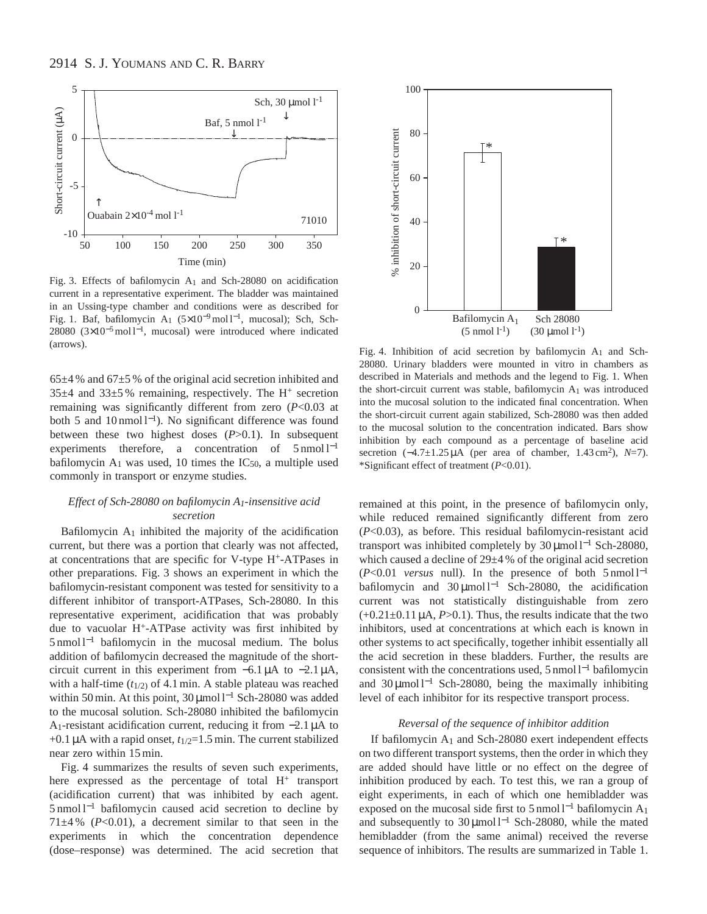

Fig. 3. Effects of bafilomycin  $A_1$  and Sch-28080 on acidification current in a representative experiment. The bladder was maintained in an Ussing-type chamber and conditions were as described for Fig. 1. Baf, bafilomycin A1 (5×10<sup>−</sup>9mol l−1, mucosal); Sch, Sch-28080 (3×10<sup>-5</sup> mol l<sup>-1</sup>, mucosal) were introduced where indicated (arrows).

 $65\pm4$ % and  $67\pm5$ % of the original acid secretion inhibited and  $35\pm4$  and  $33\pm5$ % remaining, respectively. The H<sup>+</sup> secretion remaining was significantly different from zero (*P*<0.03 at both 5 and 10 nmol l<sup>−</sup>1). No significant difference was found between these two highest doses (*P*>0.1). In subsequent experiments therefore, a concentration of  $5 \text{ nmol } 1^{-1}$ bafilomycin  $A_1$  was used, 10 times the  $IC_{50}$ , a multiple used commonly in transport or enzyme studies.

# *Effect of Sch-28080 on bafilomycin A1-insensitive acid secretion*

Bafilomycin  $A_1$  inhibited the majority of the acidification current, but there was a portion that clearly was not affected, at concentrations that are specific for V-type H+-ATPases in other preparations. Fig. 3 shows an experiment in which the bafilomycin-resistant component was tested for sensitivity to a different inhibitor of transport-ATPases, Sch-28080. In this representative experiment, acidification that was probably due to vacuolar H+-ATPase activity was first inhibited by 5 nmol l−<sup>1</sup> bafilomycin in the mucosal medium. The bolus addition of bafilomycin decreased the magnitude of the shortcircuit current in this experiment from −6.1 µA to −2.1 µA, with a half-time  $(t_{1/2})$  of 4.1 min. A stable plateau was reached within 50 min. At this point, 30 μmol l<sup>-1</sup> Sch-28080 was added to the mucosal solution. Sch-28080 inhibited the bafilomycin A1-resistant acidification current, reducing it from −2.1 µA to  $+0.1 \mu A$  with a rapid onset,  $t_{1/2}=1.5 \text{ min}$ . The current stabilized near zero within 15 min.

Fig. 4 summarizes the results of seven such experiments, here expressed as the percentage of total H<sup>+</sup> transport (acidification current) that was inhibited by each agent. 5 nmol l−<sup>1</sup> bafilomycin caused acid secretion to decline by  $71\pm4\%$  ( $P<0.01$ ), a decrement similar to that seen in the experiments in which the concentration dependence (dose–response) was determined. The acid secretion that



Fig. 4. Inhibition of acid secretion by bafilomycin A1 and Sch-28080. Urinary bladders were mounted in vitro in chambers as described in Materials and methods and the legend to Fig. 1. When the short-circuit current was stable, bafilomycin A1 was introduced into the mucosal solution to the indicated final concentration. When the short-circuit current again stabilized, Sch-28080 was then added to the mucosal solution to the concentration indicated. Bars show inhibition by each compound as a percentage of baseline acid secretion (−4.7±1.25 µA (per area of chamber, 1.43 cm2), *N*=7). \*Significant effect of treatment (*P*<0.01).

remained at this point, in the presence of bafilomycin only, while reduced remained significantly different from zero (*P*<0.03), as before. This residual bafilomycin-resistant acid transport was inhibited completely by 30 μmol l<sup>-1</sup> Sch-28080, which caused a decline of 29±4 % of the original acid secretion (*P*<0.01 *versus* null). In the presence of both 5 nmol l−<sup>1</sup> bafilomycin and 30 µmol l−<sup>1</sup> Sch-28080, the acidification current was not statistically distinguishable from zero  $(+0.21\pm0.11 \,\mu A, P>0.1)$ . Thus, the results indicate that the two inhibitors, used at concentrations at which each is known in other systems to act specifically, together inhibit essentially all the acid secretion in these bladders. Further, the results are consistent with the concentrations used, 5 nmol l−<sup>1</sup> bafilomycin and 30  $\mu$ mol l<sup>-1</sup> Sch-28080, being the maximally inhibiting level of each inhibitor for its respective transport process.

### *Reversal of the sequence of inhibitor addition*

If bafilomycin  $A_1$  and Sch-28080 exert independent effects on two different transport systems, then the order in which they are added should have little or no effect on the degree of inhibition produced by each. To test this, we ran a group of eight experiments, in each of which one hemibladder was exposed on the mucosal side first to 5 nmol  $l^{-1}$  bafilomycin A<sub>1</sub> and subsequently to 30 μmol l<sup>-1</sup> Sch-28080, while the mated hemibladder (from the same animal) received the reverse sequence of inhibitors. The results are summarized in Table 1.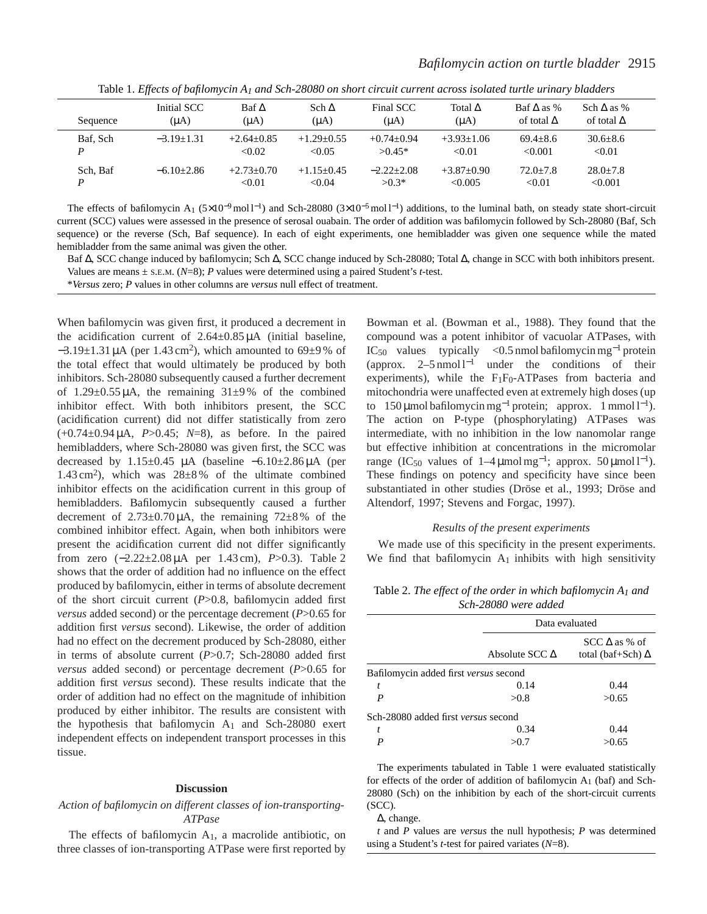| Sequence | Initial SCC  | $\text{Baf} \Delta$    | Sch $\Delta$           | Final SCC               | Total $\Delta$          | $\text{Baf} \wedge \text{as } \%$ | Sch $\Delta$ as %       |
|----------|--------------|------------------------|------------------------|-------------------------|-------------------------|-----------------------------------|-------------------------|
|          | $(\mu A)$    | $(\mu A)$              | $(\mu A)$              | $(\mu A)$               | $(\mu A)$               | of total $\Delta$                 | of total $\Delta$       |
| Baf. Sch | $-3.19+1.31$ | $+2.64+0.85$           | $+1.29 + 0.55$         | $+0.74 + 0.94$          | $+3.93+1.06$            | $69.4 + 8.6$                      | $30.6 \pm 8.6$          |
| D        |              | < 0.02                 | < 0.05                 | $>0.45*$                | < 0.01                  | < 0.001                           | < 0.01                  |
| Sch. Baf | $-6.10+2.86$ | $+2.73+0.70$<br>< 0.01 | $+1.15+0.45$<br>< 0.04 | $-2.22+2.08$<br>$>0.3*$ | $+3.87+0.90$<br>< 0.005 | $72.0 + 7.8$<br>< 0.01            | $28.0 + 7.8$<br>< 0.001 |

Table 1. *Effects of bafilomycin A1 and Sch-28080 on short circuit current across isolated turtle urinary bladders*

The effects of bafilomycin A<sub>1</sub> (5×10<sup>-9</sup> mol<sup>1-1</sup>) and Sch-28080 (3×10<sup>-5</sup> mol<sup>1-1</sup>) additions, to the luminal bath, on steady state short-circuit current (SCC) values were assessed in the presence of serosal ouabain. The order of addition was bafilomycin followed by Sch-28080 (Baf, Sch sequence) or the reverse (Sch, Baf sequence). In each of eight experiments, one hemibladder was given one sequence while the mated hemibladder from the same animal was given the other.

Baf Δ, SCC change induced by bafilomycin; Sch Δ, SCC change induced by Sch-28080; Total Δ, change in SCC with both inhibitors present. Values are means ± S.E.M. (*N*=8); *P* values were determined using a paired Student's *t*-test.

\**Versus* zero; *P* values in other columns are *versus* null effect of treatment.

When bafilomycin was given first, it produced a decrement in the acidification current of  $2.64 \pm 0.85 \mu A$  (initial baseline,  $-3.19\pm1.31 \mu A$  (per 1.43 cm<sup>2</sup>), which amounted to 69 $\pm$ 9% of the total effect that would ultimately be produced by both inhibitors. Sch-28080 subsequently caused a further decrement of  $1.29\pm0.55 \mu$ A, the remaining  $31\pm9\%$  of the combined inhibitor effect. With both inhibitors present, the SCC (acidification current) did not differ statistically from zero (+0.74±0.94 µA, *P*>0.45; *N*=8), as before. In the paired hemibladders, where Sch-28080 was given first, the SCC was decreased by  $1.15\pm0.45$  µA (baseline  $-6.10\pm2.86$  µA (per 1.43 cm<sup>2</sup>), which was  $28\pm8\%$  of the ultimate combined inhibitor effects on the acidification current in this group of hemibladders. Bafilomycin subsequently caused a further decrement of  $2.73\pm0.70 \mu$ A, the remaining  $72\pm8\%$  of the combined inhibitor effect. Again, when both inhibitors were present the acidification current did not differ significantly from zero (−2.22±2.08 µA per 1.43 cm), *P*>0.3). Table 2 shows that the order of addition had no influence on the effect produced by bafilomycin, either in terms of absolute decrement of the short circuit current (*P*>0.8, bafilomycin added first *versus* added second) or the percentage decrement (*P*>0.65 for addition first *versus* second). Likewise, the order of addition had no effect on the decrement produced by Sch-28080, either in terms of absolute current (*P*>0.7; Sch-28080 added first *versus* added second) or percentage decrement (*P*>0.65 for addition first *versus* second). These results indicate that the order of addition had no effect on the magnitude of inhibition produced by either inhibitor. The results are consistent with the hypothesis that bafilomycin  $A_1$  and Sch-28080 exert independent effects on independent transport processes in this tissue.

### **Discussion**

## *Action of bafilomycin on different classes of ion-transporting-ATPase*

The effects of bafilomycin  $A_1$ , a macrolide antibiotic, on three classes of ion-transporting ATPase were first reported by Bowman et al. (Bowman et al., 1988). They found that the compound was a potent inhibitor of vacuolar ATPases, with IC<sub>50</sub> values typically <0.5 nmol bafilomycin mg<sup>-1</sup> protein (approx.  $2-5$  nmol l<sup>-1</sup> under the conditions of their experiments), while the  $F_1F_0$ -ATPases from bacteria and mitochondria were unaffected even at extremely high doses (up to 150 µmol bafilomycin mg<sup>-1</sup> protein; approx. 1 mmol l<sup>-1</sup>). The action on P-type (phosphorylating) ATPases was intermediate, with no inhibition in the low nanomolar range but effective inhibition at concentrations in the micromolar range (IC<sub>50</sub> values of 1–4 µmol mg<sup>-1</sup>; approx. 50 µmol l<sup>-1</sup>). These findings on potency and specificity have since been substantiated in other studies (Dröse et al., 1993; Dröse and Altendorf, 1997; Stevens and Forgac, 1997).

#### *Results of the present experiments*

We made use of this specificity in the present experiments. We find that bafilomycin  $A_1$  inhibits with high sensitivity

Table 2. *The effect of the order in which bafilomycin A1 and Sch-28080 were added*

|   |                                       | Data evaluated                                      |  |  |
|---|---------------------------------------|-----------------------------------------------------|--|--|
|   | Absolute SCC $\Delta$                 | $SCC \triangle$ as % of<br>total (baf+Sch) $\Delta$ |  |  |
|   | Bafilomycin added first versus second |                                                     |  |  |
| t | 0.14                                  | 0.44                                                |  |  |
| P | >0.8                                  | >0.65                                               |  |  |
|   | Sch-28080 added first versus second   |                                                     |  |  |
| t | 0.34                                  | 0.44                                                |  |  |
| D |                                       | 50.65                                               |  |  |
|   |                                       |                                                     |  |  |

The experiments tabulated in Table 1 were evaluated statistically for effects of the order of addition of bafilomycin A1 (baf) and Sch-28080 (Sch) on the inhibition by each of the short-circuit currents (SCC).

∆, change.

*t* and *P* values are *versus* the null hypothesis; *P* was determined using a Student's *t*-test for paired variates (*N*=8).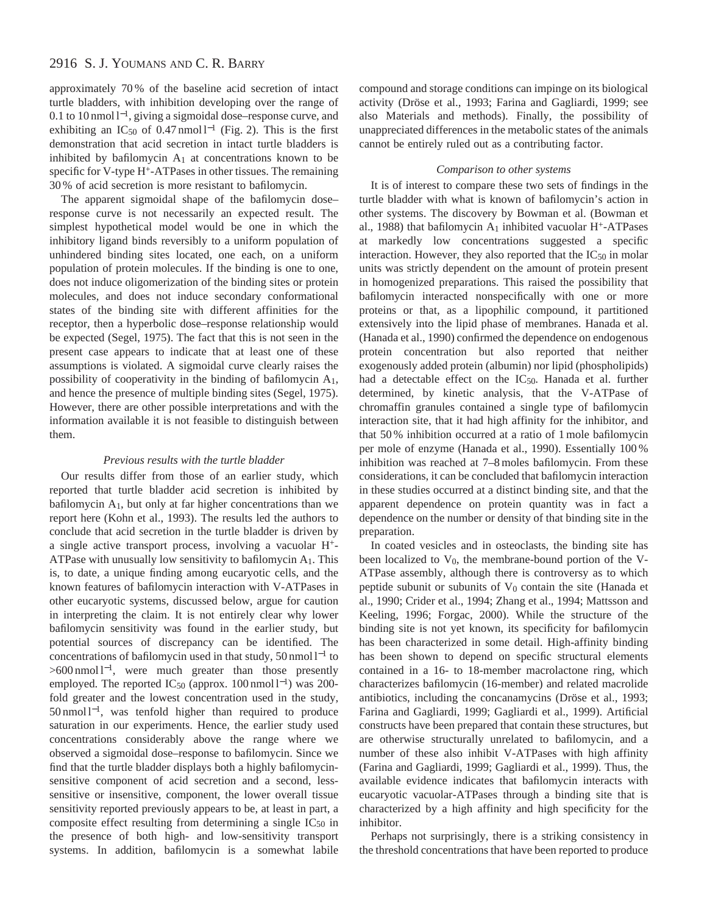# 2916 S. J. YOUMANS AND C. R. BARRY

approximately 70 % of the baseline acid secretion of intact turtle bladders, with inhibition developing over the range of 0.1 to 10 nmol l<sup>−</sup>1, giving a sigmoidal dose–response curve, and exhibiting an IC<sub>50</sub> of 0.47 nmol l<sup>-1</sup> (Fig. 2). This is the first demonstration that acid secretion in intact turtle bladders is inhibited by bafilomycin  $A_1$  at concentrations known to be specific for V-type H<sup>+</sup>-ATPases in other tissues. The remaining 30 % of acid secretion is more resistant to bafilomycin.

The apparent sigmoidal shape of the bafilomycin dose– response curve is not necessarily an expected result. The simplest hypothetical model would be one in which the inhibitory ligand binds reversibly to a uniform population of unhindered binding sites located, one each, on a uniform population of protein molecules. If the binding is one to one, does not induce oligomerization of the binding sites or protein molecules, and does not induce secondary conformational states of the binding site with different affinities for the receptor, then a hyperbolic dose–response relationship would be expected (Segel, 1975). The fact that this is not seen in the present case appears to indicate that at least one of these assumptions is violated. A sigmoidal curve clearly raises the possibility of cooperativity in the binding of bafilomycin A1, and hence the presence of multiple binding sites (Segel, 1975). However, there are other possible interpretations and with the information available it is not feasible to distinguish between them.

### *Previous results with the turtle bladder*

Our results differ from those of an earlier study, which reported that turtle bladder acid secretion is inhibited by bafilomycin A1, but only at far higher concentrations than we report here (Kohn et al., 1993). The results led the authors to conclude that acid secretion in the turtle bladder is driven by a single active transport process, involving a vacuolar H+- ATPase with unusually low sensitivity to bafilomycin  $A_1$ . This is, to date, a unique finding among eucaryotic cells, and the known features of bafilomycin interaction with V-ATPases in other eucaryotic systems, discussed below, argue for caution in interpreting the claim. It is not entirely clear why lower bafilomycin sensitivity was found in the earlier study, but potential sources of discrepancy can be identified. The concentrations of bafilomycin used in that study, 50 nmol l−<sup>1</sup> to >600 nmol l<sup>-1</sup>, were much greater than those presently employed. The reported IC<sub>50</sub> (approx. 100 nmol l<sup>-1</sup>) was 200fold greater and the lowest concentration used in the study, 50 nmol l<sup>−</sup>1, was tenfold higher than required to produce saturation in our experiments. Hence, the earlier study used concentrations considerably above the range where we observed a sigmoidal dose–response to bafilomycin. Since we find that the turtle bladder displays both a highly bafilomycinsensitive component of acid secretion and a second, lesssensitive or insensitive, component, the lower overall tissue sensitivity reported previously appears to be, at least in part, a composite effect resulting from determining a single  $IC_{50}$  in the presence of both high- and low-sensitivity transport systems. In addition, bafilomycin is a somewhat labile

compound and storage conditions can impinge on its biological activity (Dröse et al., 1993; Farina and Gagliardi, 1999; see also Materials and methods). Finally, the possibility of unappreciated differences in the metabolic states of the animals cannot be entirely ruled out as a contributing factor.

### *Comparison to other systems*

It is of interest to compare these two sets of findings in the turtle bladder with what is known of bafilomycin's action in other systems. The discovery by Bowman et al. (Bowman et al., 1988) that bafilomycin  $A_1$  inhibited vacuolar H<sup>+</sup>-ATPases at markedly low concentrations suggested a specific interaction. However, they also reported that the  $IC_{50}$  in molar units was strictly dependent on the amount of protein present in homogenized preparations. This raised the possibility that bafilomycin interacted nonspecifically with one or more proteins or that, as a lipophilic compound, it partitioned extensively into the lipid phase of membranes. Hanada et al. (Hanada et al., 1990) confirmed the dependence on endogenous protein concentration but also reported that neither exogenously added protein (albumin) nor lipid (phospholipids) had a detectable effect on the IC50. Hanada et al. further determined, by kinetic analysis, that the V-ATPase of chromaffin granules contained a single type of bafilomycin interaction site, that it had high affinity for the inhibitor, and that 50 % inhibition occurred at a ratio of 1 mole bafilomycin per mole of enzyme (Hanada et al., 1990). Essentially 100 % inhibition was reached at 7–8 moles bafilomycin. From these considerations, it can be concluded that bafilomycin interaction in these studies occurred at a distinct binding site, and that the apparent dependence on protein quantity was in fact a dependence on the number or density of that binding site in the preparation.

In coated vesicles and in osteoclasts, the binding site has been localized to  $V_0$ , the membrane-bound portion of the V-ATPase assembly, although there is controversy as to which peptide subunit or subunits of  $V_0$  contain the site (Hanada et al., 1990; Crider et al., 1994; Zhang et al., 1994; Mattsson and Keeling, 1996; Forgac, 2000). While the structure of the binding site is not yet known, its specificity for bafilomycin has been characterized in some detail. High-affinity binding has been shown to depend on specific structural elements contained in a 16- to 18-member macrolactone ring, which characterizes bafilomycin (16-member) and related macrolide antibiotics, including the concanamycins (Dröse et al., 1993; Farina and Gagliardi, 1999; Gagliardi et al., 1999). Artificial constructs have been prepared that contain these structures, but are otherwise structurally unrelated to bafilomycin, and a number of these also inhibit V-ATPases with high affinity (Farina and Gagliardi, 1999; Gagliardi et al., 1999). Thus, the available evidence indicates that bafilomycin interacts with eucaryotic vacuolar-ATPases through a binding site that is characterized by a high affinity and high specificity for the inhibitor.

Perhaps not surprisingly, there is a striking consistency in the threshold concentrations that have been reported to produce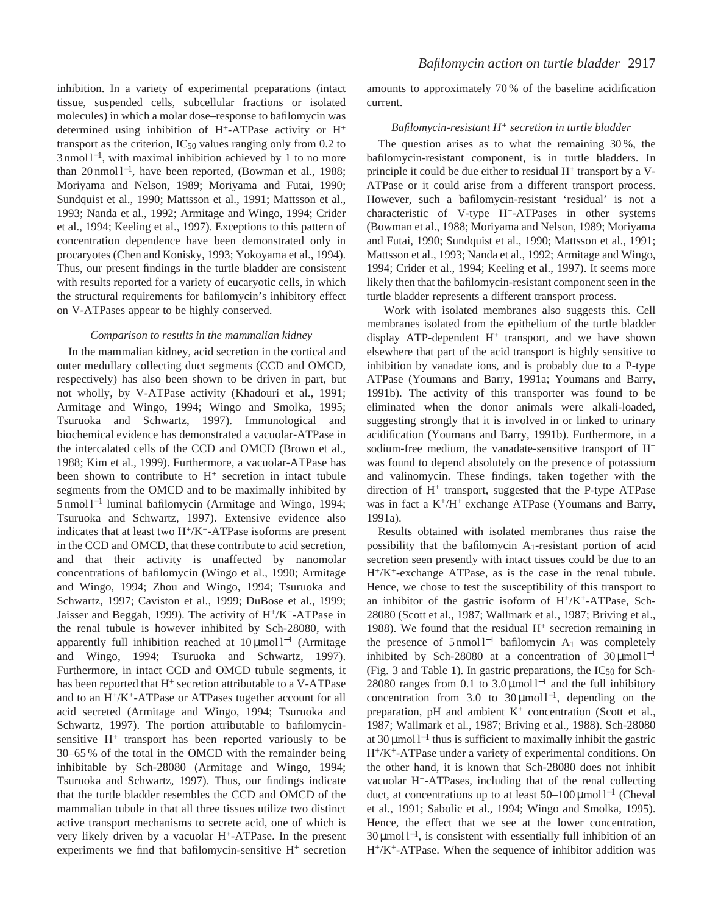inhibition. In a variety of experimental preparations (intact tissue, suspended cells, subcellular fractions or isolated molecules) in which a molar dose–response to bafilomycin was determined using inhibition of  $H^+$ -ATPase activity or  $H^+$ transport as the criterion,  $IC_{50}$  values ranging only from 0.2 to 3 nmol l<sup>-1</sup>, with maximal inhibition achieved by 1 to no more than 20 nmol l<sup>−</sup>1, have been reported, (Bowman et al., 1988; Moriyama and Nelson, 1989; Moriyama and Futai, 1990; Sundquist et al., 1990; Mattsson et al., 1991; Mattsson et al., 1993; Nanda et al., 1992; Armitage and Wingo, 1994; Crider et al., 1994; Keeling et al., 1997). Exceptions to this pattern of concentration dependence have been demonstrated only in procaryotes (Chen and Konisky, 1993; Yokoyama et al., 1994). Thus, our present findings in the turtle bladder are consistent with results reported for a variety of eucaryotic cells, in which the structural requirements for bafilomycin's inhibitory effect on V-ATPases appear to be highly conserved.

### *Comparison to results in the mammalian kidney*

In the mammalian kidney, acid secretion in the cortical and outer medullary collecting duct segments (CCD and OMCD, respectively) has also been shown to be driven in part, but not wholly, by V-ATPase activity (Khadouri et al., 1991; Armitage and Wingo, 1994; Wingo and Smolka, 1995; Tsuruoka and Schwartz, 1997). Immunological and biochemical evidence has demonstrated a vacuolar-ATPase in the intercalated cells of the CCD and OMCD (Brown et al., 1988; Kim et al., 1999). Furthermore, a vacuolar-ATPase has been shown to contribute to  $H^+$  secretion in intact tubule segments from the OMCD and to be maximally inhibited by 5 nmol l−<sup>1</sup> luminal bafilomycin (Armitage and Wingo, 1994; Tsuruoka and Schwartz, 1997). Extensive evidence also indicates that at least two  $H^+/K^+$ -ATPase isoforms are present in the CCD and OMCD, that these contribute to acid secretion, and that their activity is unaffected by nanomolar concentrations of bafilomycin (Wingo et al., 1990; Armitage and Wingo, 1994; Zhou and Wingo, 1994; Tsuruoka and Schwartz, 1997; Caviston et al., 1999; DuBose et al., 1999; Jaisser and Beggah, 1999). The activity of H+/K+-ATPase in the renal tubule is however inhibited by Sch-28080, with apparently full inhibition reached at  $10 \mu$ mol l<sup>-1</sup> (Armitage and Wingo, 1994; Tsuruoka and Schwartz, 1997). Furthermore, in intact CCD and OMCD tubule segments, it has been reported that H<sup>+</sup> secretion attributable to a V-ATPase and to an H+/K+-ATPase or ATPases together account for all acid secreted (Armitage and Wingo, 1994; Tsuruoka and Schwartz, 1997). The portion attributable to bafilomycinsensitive  $H^+$  transport has been reported variously to be 30–65 % of the total in the OMCD with the remainder being inhibitable by Sch-28080 (Armitage and Wingo, 1994; Tsuruoka and Schwartz, 1997). Thus, our findings indicate that the turtle bladder resembles the CCD and OMCD of the mammalian tubule in that all three tissues utilize two distinct active transport mechanisms to secrete acid, one of which is very likely driven by a vacuolar H+-ATPase. In the present experiments we find that bafilomycin-sensitive  $H^+$  secretion

amounts to approximately 70 % of the baseline acidification current.

### *Bafilomycin-resistant H+ secretion in turtle bladder*

The question arises as to what the remaining 30 %, the bafilomycin-resistant component, is in turtle bladders. In principle it could be due either to residual  $H^+$  transport by a V-ATPase or it could arise from a different transport process. However, such a bafilomycin-resistant 'residual' is not a characteristic of V-type H+-ATPases in other systems (Bowman et al., 1988; Moriyama and Nelson, 1989; Moriyama and Futai, 1990; Sundquist et al., 1990; Mattsson et al., 1991; Mattsson et al., 1993; Nanda et al., 1992; Armitage and Wingo, 1994; Crider et al., 1994; Keeling et al., 1997). It seems more likely then that the bafilomycin-resistant component seen in the turtle bladder represents a different transport process.

Work with isolated membranes also suggests this. Cell membranes isolated from the epithelium of the turtle bladder display ATP-dependent  $H^+$  transport, and we have shown elsewhere that part of the acid transport is highly sensitive to inhibition by vanadate ions, and is probably due to a P-type ATPase (Youmans and Barry, 1991a; Youmans and Barry, 1991b). The activity of this transporter was found to be eliminated when the donor animals were alkali-loaded, suggesting strongly that it is involved in or linked to urinary acidification (Youmans and Barry, 1991b). Furthermore, in a sodium-free medium, the vanadate-sensitive transport of H+ was found to depend absolutely on the presence of potassium and valinomycin. These findings, taken together with the direction of H+ transport, suggested that the P-type ATPase was in fact a  $K^+/H^+$  exchange ATPase (Youmans and Barry, 1991a).

Results obtained with isolated membranes thus raise the possibility that the bafilomycin A1-resistant portion of acid secretion seen presently with intact tissues could be due to an H+/K+-exchange ATPase, as is the case in the renal tubule. Hence, we chose to test the susceptibility of this transport to an inhibitor of the gastric isoform of  $H^+/K^+$ -ATPase, Sch-28080 (Scott et al., 1987; Wallmark et al., 1987; Briving et al., 1988). We found that the residual  $H^+$  secretion remaining in the presence of  $5 \text{ nmol } 1^{-1}$  bafilomycin A<sub>1</sub> was completely inhibited by Sch-28080 at a concentration of  $30 \mu$ mol l<sup>-1</sup> (Fig. 3 and Table 1). In gastric preparations, the  $IC_{50}$  for Sch-28080 ranges from 0.1 to 3.0 µmol  $l^{-1}$  and the full inhibitory concentration from 3.0 to 30  $\mu$ mol l<sup>-1</sup>, depending on the preparation, pH and ambient  $K^+$  concentration (Scott et al., 1987; Wallmark et al., 1987; Briving et al., 1988). Sch-28080 at 30 µmol  $l^{-1}$  thus is sufficient to maximally inhibit the gastric H+/K+-ATPase under a variety of experimental conditions. On the other hand, it is known that Sch-28080 does not inhibit vacuolar H+-ATPases, including that of the renal collecting duct, at concentrations up to at least  $50-100 \,\mu\text{mol}^{-1}$  (Cheval et al., 1991; Sabolic et al., 1994; Wingo and Smolka, 1995). Hence, the effect that we see at the lower concentration,  $30 \mu$ mol l<sup>-1</sup>, is consistent with essentially full inhibition of an H+/K+-ATPase. When the sequence of inhibitor addition was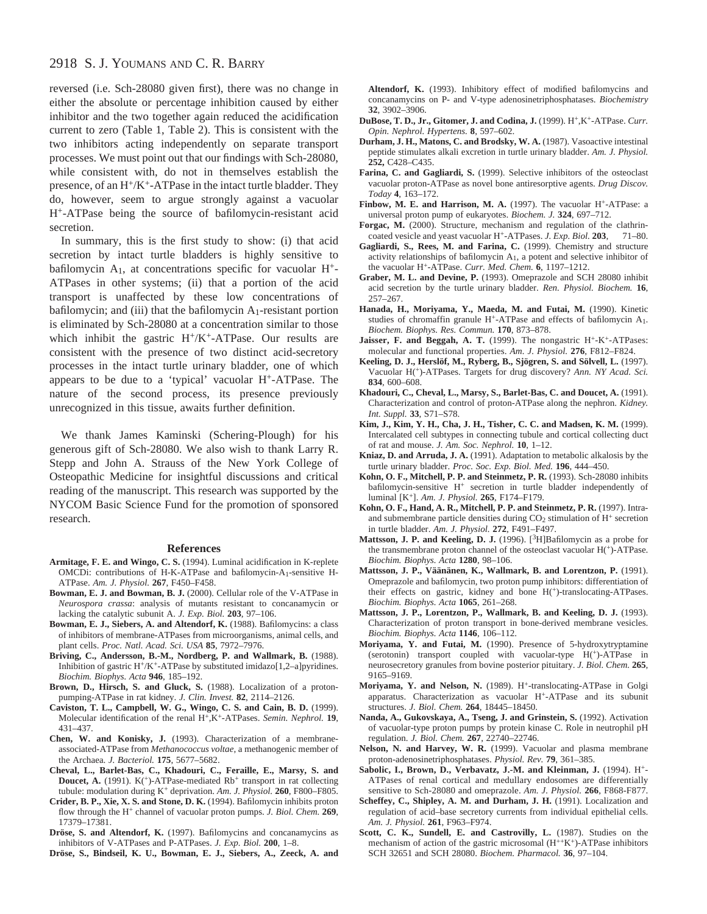# 2918 S. J. YOUMANS AND C. R. BARRY

reversed (i.e. Sch-28080 given first), there was no change in either the absolute or percentage inhibition caused by either inhibitor and the two together again reduced the acidification current to zero (Table 1, Table 2). This is consistent with the two inhibitors acting independently on separate transport processes. We must point out that our findings with Sch-28080, while consistent with, do not in themselves establish the presence, of an  $H^+/K^+$ -ATPase in the intact turtle bladder. They do, however, seem to argue strongly against a vacuolar H+-ATPase being the source of bafilomycin-resistant acid secretion.

In summary, this is the first study to show: (i) that acid secretion by intact turtle bladders is highly sensitive to bafilomycin  $A_1$ , at concentrations specific for vacuolar  $H^+$ -ATPases in other systems; (ii) that a portion of the acid transport is unaffected by these low concentrations of bafilomycin; and (iii) that the bafilomycin  $A_1$ -resistant portion is eliminated by Sch-28080 at a concentration similar to those which inhibit the gastric  $H^+/K^+$ -ATPase. Our results are consistent with the presence of two distinct acid-secretory processes in the intact turtle urinary bladder, one of which appears to be due to a 'typical' vacuolar H+-ATPase. The nature of the second process, its presence previously unrecognized in this tissue, awaits further definition.

We thank James Kaminski (Schering-Plough) for his generous gift of Sch-28080. We also wish to thank Larry R. Stepp and John A. Strauss of the New York College of Osteopathic Medicine for insightful discussions and critical reading of the manuscript. This research was supported by the NYCOM Basic Science Fund for the promotion of sponsored research.

#### **References**

- **Armitage, F. E. and Wingo, C. S.** (1994). Luminal acidification in K-replete OMCDi: contributions of H-K-ATPase and bafilomycin-A1-sensitive H-ATPase. *Am. J. Physiol.* **267**, F450–F458.
- **Bowman, E. J. and Bowman, B. J.** (2000). Cellular role of the V-ATPase in *Neurospora crassa*: analysis of mutants resistant to concanamycin or lacking the catalytic subunit A. *J. Exp. Biol.* **203**, 97–106.
- **Bowman, E. J., Siebers, A. and Altendorf, K.** (1988). Bafilomycins: a class of inhibitors of membrane-ATPases from microorganisms, animal cells, and plant cells. *Proc. Natl. Acad. Sci. USA* **85**, 7972–7976.
- **Briving, C., Andersson, B.-M., Nordberg, P. and Wallmark, B.** (1988). Inhibition of gastric H+/K+-ATPase by substituted imidazo[1,2–a]pyridines. *Biochim. Biophys. Acta* **946**, 185–192.
- **Brown, D., Hirsch, S. and Gluck, S.** (1988). Localization of a protonpumping-ATPase in rat kidney. *J. Clin. Invest.* **82**, 2114–2126.
- **Caviston, T. L., Campbell, W. G., Wingo, C. S. and Cain, B. D.** (1999). Molecular identification of the renal H+,K+-ATPases. *Semin. Nephrol.* **19**, 431–437.
- **Chen, W. and Konisky, J.** (1993). Characterization of a membraneassociated-ATPase from *Methanococcus voltae*, a methanogenic member of the Archaea. *J. Bacteriol.* **175**, 5677–5682.
- **Cheval, L., Barlet-Bas, C., Khadouri, C., Feraille, E., Marsy, S. and Doucet, A.** (1991). K<sup>(+)</sup>-ATPase-mediated Rb<sup>+</sup> transport in rat collecting tubule: modulation during K<sup>+</sup> deprivation. *Am. J. Physiol.* **260**, F800–F805.
- **Crider, B. P., Xie, X. S. and Stone, D. K.** (1994). Bafilomycin inhibits proton flow through the H<sup>+</sup> channel of vacuolar proton pumps. *J. Biol. Chem.* **269**, 17379–17381.
- **Dröse, S. and Altendorf, K.** (1997). Bafilomycins and concanamycins as inhibitors of V-ATPases and P-ATPases. *J. Exp. Biol.* **200**, 1–8.

**Dröse, S., Bindseil, K. U., Bowman, E. J., Siebers, A., Zeeck, A. and**

**Altendorf, K.** (1993). Inhibitory effect of modified bafilomycins and concanamycins on P- and V-type adenosinetriphosphatases. *Biochemistry* **32**, 3902–3906.

- **DuBose, T. D., Jr., Gitomer, J. and Codina, J.** (1999). H+,K+-ATPase. *Curr. Opin. Nephrol. Hypertens.* **8**, 597–602.
- **Durham, J. H., Matons, C. and Brodsky, W. A.** (1987). Vasoactive intestinal peptide stimulates alkali excretion in turtle urinary bladder. *Am. J. Physiol.* **252,** C428–C435.
- **Farina, C. and Gagliardi, S.** (1999). Selective inhibitors of the osteoclast vacuolar proton-ATPase as novel bone antiresorptive agents. *Drug Discov. Today* **4**, 163–172.
- Finbow, M. E. and Harrison, M. A. (1997). The vacuolar H<sup>+</sup>-ATPase: a universal proton pump of eukaryotes. *Biochem. J.* **324**, 697–712.
- **Forgac, M.** (2000). Structure, mechanism and regulation of the clathrincoated vesicle and yeast vacuolar H+-ATPases. *J. Exp. Biol.* **203**, 71–80.
- **Gagliardi, S., Rees, M. and Farina, C.** (1999). Chemistry and structure activity relationships of bafilomycin A1, a potent and selective inhibitor of the vacuolar H+-ATPase. *Curr. Med. Chem.* **6**, 1197–1212.
- **Graber, M. L. and Devine, P.** (1993). Omeprazole and SCH 28080 inhibit acid secretion by the turtle urinary bladder. *Ren. Physiol. Biochem.* **16**, 257–267.
- **Hanada, H., Moriyama, Y., Maeda, M. and Futai, M.** (1990). Kinetic studies of chromaffin granule H+-ATPase and effects of bafilomycin A1. *Biochem. Biophys. Res. Commun.* **170**, 873–878.
- Jaisser, F. and Beggah, A. T. (1999). The nongastric H<sup>+</sup>-K<sup>+</sup>-ATPases: molecular and functional properties. *Am. J. Physiol.* **276**, F812–F824.
- **Keeling, D. J., Herslöf, M., Ryberg, B., Sjögren, S. and Sölvell, L.** (1997). Vacuolar H(+)-ATPases. Targets for drug discovery? *Ann. NY Acad. Sci.* **834**, 600–608.
- **Khadouri, C., Cheval, L., Marsy, S., Barlet-Bas, C. and Doucet, A.** (1991). Characterization and control of proton-ATPase along the nephron. *Kidney. Int. Suppl.* **33**, S71–S78.
- **Kim, J., Kim, Y. H., Cha, J. H., Tisher, C. C. and Madsen, K. M.** (1999). Intercalated cell subtypes in connecting tubule and cortical collecting duct of rat and mouse. *J. Am. Soc. Nephrol.* **10**, 1–12.
- **Kniaz, D. and Arruda, J. A.** (1991). Adaptation to metabolic alkalosis by the turtle urinary bladder. *Proc. Soc. Exp. Biol. Med.* **196**, 444–450.
- **Kohn, O. F., Mitchell, P. P. and Steinmetz, P. R.** (1993). Sch-28080 inhibits bafilomycin-sensitive H<sup>+</sup> secretion in turtle bladder independently of luminal [K+]. *Am. J. Physiol.* **265**, F174–F179.
- **Kohn, O. F., Hand, A. R., Mitchell, P. P. and Steinmetz, P. R.** (1997). Intraand submembrane particle densities during CO<sub>2</sub> stimulation of H<sup>+</sup> secretion in turtle bladder. *Am. J. Physiol.* **272**, F491–F497.
- **Mattsson, J. P. and Keeling, D. J.** (1996). [<sup>3</sup>H]Bafilomycin as a probe for the transmembrane proton channel of the osteoclast vacuolar H(+)-ATPase. *Biochim. Biophys. Acta* **1280**, 98–106.
- **Mattsson, J. P., Väänänen, K., Wallmark, B. and Lorentzon, P.** (1991). Omeprazole and bafilomycin, two proton pump inhibitors: differentiation of their effects on gastric, kidney and bone H(+)-translocating-ATPases. *Biochim. Biophys. Acta* **1065**, 261–268.
- **Mattsson, J. P., Lorentzon, P., Wallmark, B. and Keeling, D. J.** (1993). Characterization of proton transport in bone-derived membrane vesicles. *Biochim. Biophys. Acta* **1146**, 106–112.
- **Moriyama, Y. and Futai, M.** (1990). Presence of 5-hydroxytryptamine (serotonin) transport coupled with vacuolar-type H(+)-ATPase in neurosecretory granules from bovine posterior pituitary. *J. Biol. Chem.* **265**, 9165–9169.
- Moriyama, Y. and Nelson, N. (1989). H<sup>+</sup>-translocating-ATPase in Golgi apparatus. Characterization as vacuolar H+-ATPase and its subunit structures. *J. Biol. Chem.* **264**, 18445–18450.
- **Nanda, A., Gukovskaya, A., Tseng, J. and Grinstein, S.** (1992). Activation of vacuolar-type proton pumps by protein kinase C. Role in neutrophil pH regulation. *J. Biol. Chem.* **267**, 22740–22746.
- **Nelson, N. and Harvey, W. R.** (1999). Vacuolar and plasma membrane proton-adenosinetriphosphatases. *Physiol. Rev.* **79**, 361–385.
- **Sabolic, I., Brown, D., Verbavatz, J.-M. and Kleinman, J.** (1994). H+- ATPases of renal cortical and medullary endosomes are differentially sensitive to Sch-28080 and omeprazole. *Am. J. Physiol.* **266**, F868-F877.
- **Scheffey, C., Shipley, A. M. and Durham, J. H.** (1991). Localization and regulation of acid–base secretory currents from individual epithelial cells. *Am. J. Physiol.* **261**, F963–F974.
- **Scott, C. K., Sundell, E. and Castrovilly, L.** (1987). Studies on the mechanism of action of the gastric microsomal (H++K+)-ATPase inhibitors SCH 32651 and SCH 28080. *Biochem. Pharmacol.* **36**, 97–104.